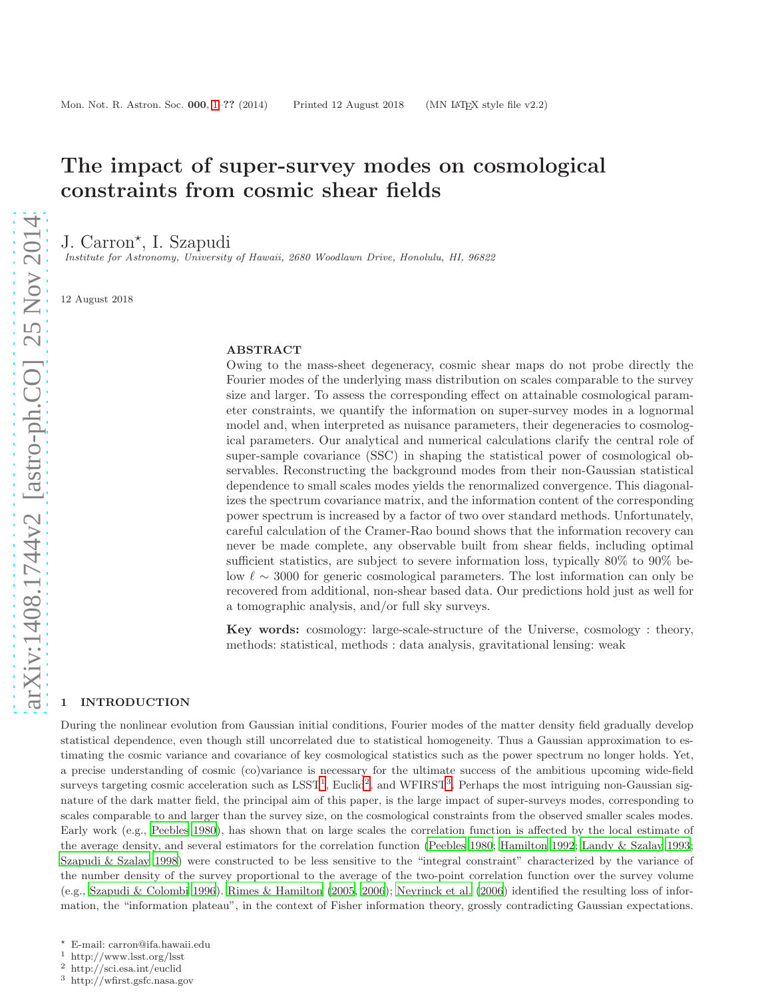# <span id="page-0-0"></span>The impact of super-survey modes on cosmological constraints from cosmic shear fields

J. Carron\*, I. Szapudi

Institute for Astronomy, University of Hawaii, 2680 Woodlawn Drive, Honolulu, HI, 96822

12 August 2018

#### ABSTRACT

Owing to the mass-sheet degeneracy, cosmic shear maps do not probe directly the Fourier modes of the underlying mass distribution on scales comparable to the survey size and larger. To assess the corresponding effect on attainable cosmological parameter constraints, we quantify the information on super-survey modes in a lognormal model and, when interpreted as nuisance parameters, their degeneracies to cosmological parameters. Our analytical and numerical calculations clarify the central role of super-sample covariance (SSC) in shaping the statistical power of cosmological observables. Reconstructing the background modes from their non-Gaussian statistical dependence to small scales modes yields the renormalized convergence. This diagonalizes the spectrum covariance matrix, and the information content of the corresponding power spectrum is increased by a factor of two over standard methods. Unfortunately, careful calculation of the Cramer-Rao bound shows that the information recovery can never be made complete, any observable built from shear fields, including optimal sufficient statistics, are subject to severe information loss, typically 80% to 90% below  $\ell \sim 3000$  for generic cosmological parameters. The lost information can only be recovered from additional, non-shear based data. Our predictions hold just as well for a tomographic analysis, and/or full sky surveys.

Key words: cosmology: large-scale-structure of the Universe, cosmology : theory, methods: statistical, methods : data analysis, gravitational lensing: weak

## 1 INTRODUCTION

During the nonlinear evolution from Gaussian initial conditions, Fourier modes of the matter density field gradually develop statistical dependence, even though still uncorrelated due to statistical homogeneity. Thus a Gaussian approximation to estimating the cosmic variance and covariance of key cosmological statistics such as the power spectrum no longer holds. Yet, a precise understanding of cosmic (co)variance is necessary for the ultimate success of the ambitious upcoming wide-field surveys targeting cosmic acceleration such as  $L SST<sup>1</sup>$  $L SST<sup>1</sup>$  $L SST<sup>1</sup>$ , Euclid<sup>[2](#page-0-2)</sup>, and WFIRST<sup>[3](#page-0-3)</sup>. Perhaps the most intriguing non-Gaussian signature of the dark matter field, the principal aim of this paper, is the large impact of super-surveys modes, corresponding to scales comparable to and larger than the survey size, on the cosmological constraints from the observed smaller scales modes. Early work (e.g., [Peebles 1980](#page-10-0)), has shown that on large scales the correlation function is affected by the local estimate of the average density, and several estimators for the correlation function [\(Peebles 1980](#page-10-0); [Hamilton 1992](#page-10-1); [Landy & Szalay 1993](#page-10-2); [Szapudi & Szalay 1998](#page-11-0)) were constructed to be less sensitive to the "integral constraint" characterized by the variance of the number density of the survey proportional to the average of the two-point correlation function over the survey volume (e.g., [Szapudi & Colombi 1996](#page-11-1)). [Rimes & Hamilton \(2005](#page-10-3), [2006](#page-10-4)); [Neyrinck et al. \(2006](#page-10-5)) identified the resulting loss of information, the "information plateau", in the context of Fisher information theory, grossly contradicting Gaussian expectations.

<sup>⋆</sup> E-mail: carron@ifa.hawaii.edu

<sup>&</sup>lt;sup>1</sup> http://www.lsst.org/lsst<br><sup>2</sup> http://sci.esa.int/euclid

<span id="page-0-1"></span><sup>2</sup> http://sci.esa.int/euclid

<span id="page-0-3"></span><span id="page-0-2"></span><sup>3</sup> http://wfirst.gsfc.nasa.gov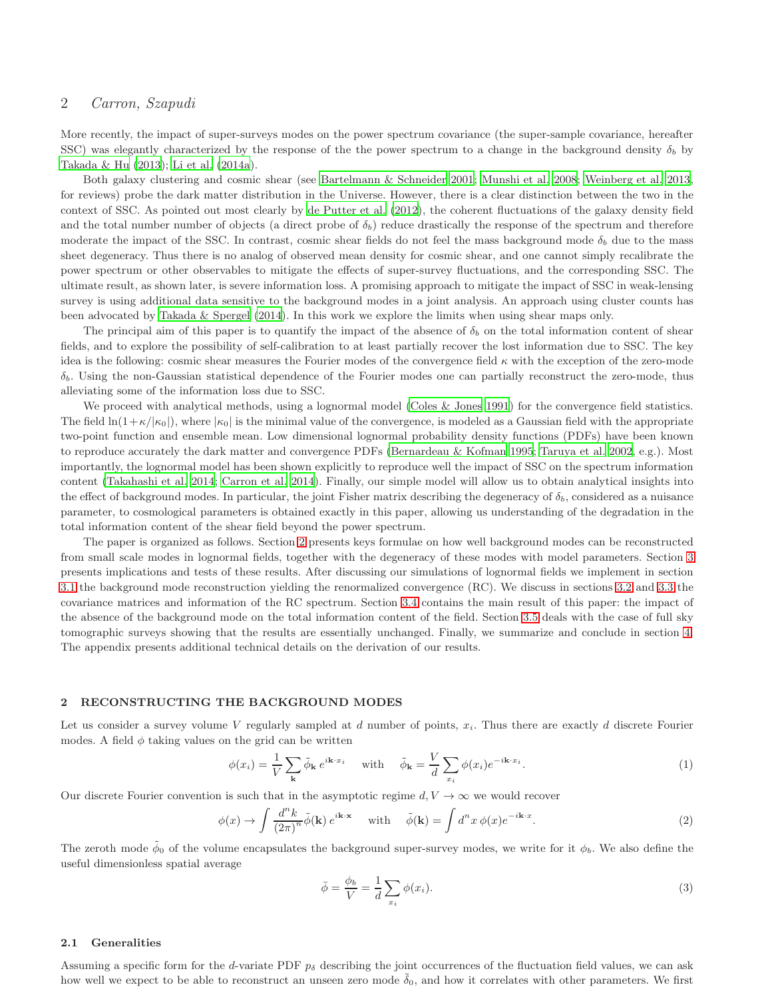More recently, the impact of super-surveys modes on the power spectrum covariance (the super-sample covariance, hereafter SSC) was elegantly characterized by the response of the the power spectrum to a change in the background density  $\delta_b$  by [Takada & Hu \(2013\)](#page-11-2); [Li et al. \(2014a](#page-10-6)).

Both galaxy clustering and cosmic shear (see [Bartelmann & Schneider 2001](#page-10-7); [Munshi et al. 2008;](#page-10-8) [Weinberg et al. 2013](#page-11-3), for reviews) probe the dark matter distribution in the Universe. However, there is a clear distinction between the two in the context of SSC. As pointed out most clearly by [de Putter et al.](#page-10-9) [\(2012](#page-10-9)), the coherent fluctuations of the galaxy density field and the total number number of objects (a direct probe of  $\delta_b$ ) reduce drastically the response of the spectrum and therefore moderate the impact of the SSC. In contrast, cosmic shear fields do not feel the mass background mode  $\delta_b$  due to the mass sheet degeneracy. Thus there is no analog of observed mean density for cosmic shear, and one cannot simply recalibrate the power spectrum or other observables to mitigate the effects of super-survey fluctuations, and the corresponding SSC. The ultimate result, as shown later, is severe information loss. A promising approach to mitigate the impact of SSC in weak-lensing survey is using additional data sensitive to the background modes in a joint analysis. An approach using cluster counts has been advocated by [Takada & Spergel \(2014](#page-11-4)). In this work we explore the limits when using shear maps only.

The principal aim of this paper is to quantify the impact of the absence of  $\delta_b$  on the total information content of shear fields, and to explore the possibility of self-calibration to at least partially recover the lost information due to SSC. The key idea is the following: cosmic shear measures the Fourier modes of the convergence field  $\kappa$  with the exception of the zero-mode  $\delta_b$ . Using the non-Gaussian statistical dependence of the Fourier modes one can partially reconstruct the zero-mode, thus alleviating some of the information loss due to SSC.

We proceed with analytical methods, using a lognormal model [\(Coles & Jones 1991](#page-10-10)) for the convergence field statistics. The field  $\ln(1+\kappa/|\kappa_0|)$ , where  $|\kappa_0|$  is the minimal value of the convergence, is modeled as a Gaussian field with the appropriate two-point function and ensemble mean. Low dimensional lognormal probability density functions (PDFs) have been known to reproduce accurately the dark matter and convergence PDFs [\(Bernardeau & Kofman 1995](#page-10-11); [Taruya et al. 2002,](#page-11-5) e.g.). Most importantly, the lognormal model has been shown explicitly to reproduce well the impact of SSC on the spectrum information content [\(Takahashi et al. 2014](#page-11-6); [Carron et al. 2014](#page-10-12)). Finally, our simple model will allow us to obtain analytical insights into the effect of background modes. In particular, the joint Fisher matrix describing the degeneracy of  $\delta_b$ , considered as a nuisance parameter, to cosmological parameters is obtained exactly in this paper, allowing us understanding of the degradation in the total information content of the shear field beyond the power spectrum.

The paper is organized as follows. Section [2](#page-1-0) presents keys formulae on how well background modes can be reconstructed from small scale modes in lognormal fields, together with the degeneracy of these modes with model parameters. Section [3](#page-3-0) presents implications and tests of these results. After discussing our simulations of lognormal fields we implement in section [3.1](#page-3-1) the background mode reconstruction yielding the renormalized convergence (RC). We discuss in sections [3.2](#page-4-0) and [3.3](#page-5-0) the covariance matrices and information of the RC spectrum. Section [3.4](#page-5-1) contains the main result of this paper: the impact of the absence of the background mode on the total information content of the field. Section [3.5](#page-6-0) deals with the case of full sky tomographic surveys showing that the results are essentially unchanged. Finally, we summarize and conclude in section [4.](#page-7-0) The appendix presents additional technical details on the derivation of our results.

#### <span id="page-1-0"></span>2 RECONSTRUCTING THE BACKGROUND MODES

Let us consider a survey volume V regularly sampled at d number of points,  $x_i$ . Thus there are exactly d discrete Fourier modes. A field  $\phi$  taking values on the grid can be written

$$
\phi(x_i) = \frac{1}{V} \sum_{\mathbf{k}} \tilde{\phi}_{\mathbf{k}} e^{i\mathbf{k} \cdot x_i} \quad \text{with} \quad \tilde{\phi}_{\mathbf{k}} = \frac{V}{d} \sum_{x_i} \phi(x_i) e^{-i\mathbf{k} \cdot x_i}.
$$
 (1)

Our discrete Fourier convention is such that in the asymptotic regime  $d, V \to \infty$  we would recover

$$
\phi(x) \to \int \frac{d^n k}{(2\pi)^n} \tilde{\phi}(\mathbf{k}) e^{i\mathbf{k} \cdot \mathbf{x}} \quad \text{with} \quad \tilde{\phi}(\mathbf{k}) = \int d^n x \, \phi(x) e^{-i\mathbf{k} \cdot x}.
$$
 (2)

The zeroth mode  $\phi_0$  of the volume encapsulates the background super-survey modes, we write for it  $\phi_b$ . We also define the useful dimensionless spatial average

$$
\bar{\phi} = \frac{\phi_b}{V} = \frac{1}{d} \sum_{x_i} \phi(x_i). \tag{3}
$$

## 2.1 Generalities

Assuming a specific form for the d-variate PDF  $p_{\delta}$  describing the joint occurrences of the fluctuation field values, we can ask how well we expect to be able to reconstruct an unseen zero mode  $\tilde{\delta}_0$ , and how it correlates with other parameters. We first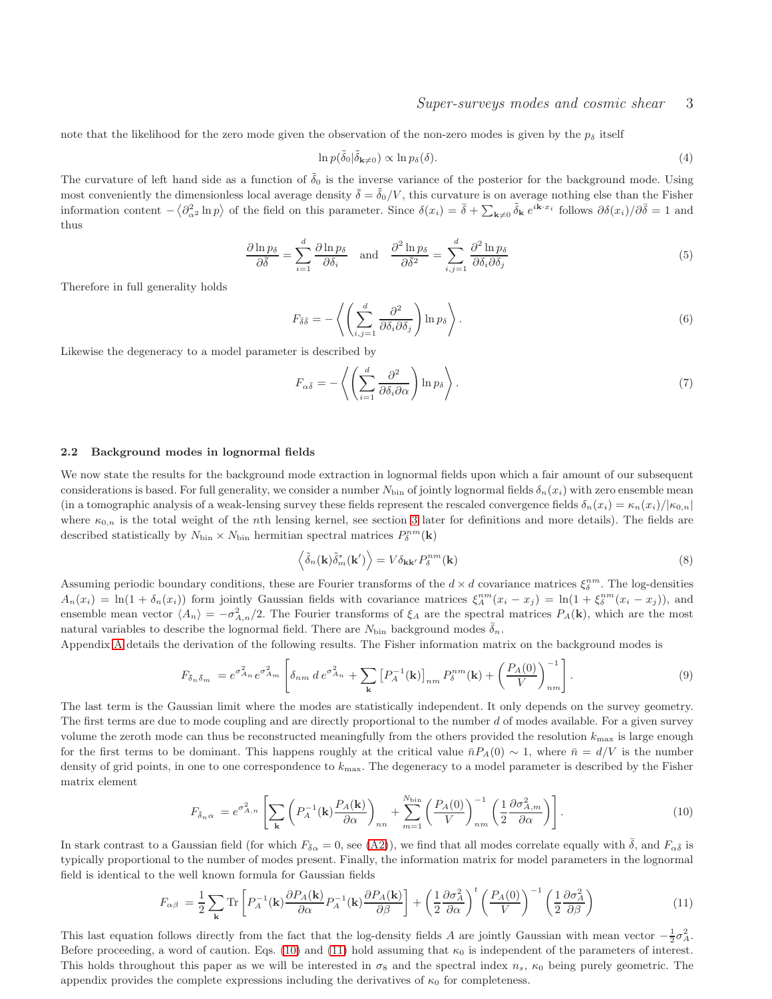note that the likelihood for the zero mode given the observation of the non-zero modes is given by the  $p_{\delta}$  itself

$$
\ln p(\tilde{\delta}_0|\tilde{\delta}_{\mathbf{k}\neq 0}) \propto \ln p_{\delta}(\delta). \tag{4}
$$

The curvature of left hand side as a function of  $\tilde{\delta}_0$  is the inverse variance of the posterior for the background mode. Using most conveniently the dimensionless local average density  $\bar{\delta} = \tilde{\delta}_0/V$ , this curvature is on average nothing else than the Fisher information content  $-\langle \partial_{\alpha^2}^2 \ln p \rangle$  of the field on this parameter. Since  $\delta(x_i) = \bar{\delta} + \sum_{\mathbf{k} \neq 0} \tilde{\delta}_{\mathbf{k}} e^{i\mathbf{k} \cdot x_i}$  follows  $\partial \delta(x_i) / \partial \bar{\delta} = 1$  and thus

$$
\frac{\partial \ln p_{\delta}}{\partial \bar{\delta}} = \sum_{i=1}^{d} \frac{\partial \ln p_{\delta}}{\partial \delta_i} \quad \text{and} \quad \frac{\partial^2 \ln p_{\delta}}{\partial \bar{\delta}^2} = \sum_{i,j=1}^{d} \frac{\partial^2 \ln p_{\delta}}{\partial \delta_i \partial \delta_j} \tag{5}
$$

Therefore in full generality holds

<span id="page-2-4"></span>
$$
F_{\bar{\delta}\bar{\delta}} = -\left\langle \left( \sum_{i,j=1}^{d} \frac{\partial^2}{\partial \delta_i \partial \delta_j} \right) \ln p_{\delta} \right\rangle. \tag{6}
$$

Likewise the degeneracy to a model parameter is described by

<span id="page-2-5"></span>
$$
F_{\alpha\bar{\delta}} = -\left\langle \left(\sum_{i=1}^{d} \frac{\partial^2}{\partial \delta_i \partial \alpha}\right) \ln p_{\delta} \right\rangle. \tag{7}
$$

#### <span id="page-2-3"></span>2.2 Background modes in lognormal fields

We now state the results for the background mode extraction in lognormal fields upon which a fair amount of our subsequent considerations is based. For full generality, we consider a number  $N_{\text{bin}}$  of jointly lognormal fields  $\delta_n(x_i)$  with zero ensemble mean (in a tomographic analysis of a weak-lensing survey these fields represent the rescaled convergence fields  $\delta_n(x_i) = \kappa_n(x_i)/|\kappa_{0,n}|$ where  $\kappa_{0,n}$  is the total weight of the nth lensing kernel, see section [3](#page-3-0) later for definitions and more details). The fields are described statistically by  $N_{\text{bin}} \times N_{\text{bin}}$  hermitian spectral matrices  $P_{\delta}^{nm}(\mathbf{k})$ 

$$
\left\langle \tilde{\delta}_{n}(\mathbf{k}) \tilde{\delta}_{m}^{*}(\mathbf{k}') \right\rangle = V \delta_{\mathbf{k}\mathbf{k}'} P_{\delta}^{nm}(\mathbf{k})
$$
\n(8)

Assuming periodic boundary conditions, these are Fourier transforms of the  $d \times d$  covariance matrices  $\xi_{\delta}^{nm}$ . The log-densities  $A_n(x_i) = \ln(1 + \delta_n(x_i))$  form jointly Gaussian fields with covariance matrices  $\xi_A^{nm}(x_i - x_j) = \ln(1 + \xi_\delta^{nm}(x_i - x_j))$ , and ensemble mean vector  $\langle A_n \rangle = -\sigma_{A,n}^2/2$ . The Fourier transforms of  $\xi_A$  are the spectral matrices  $P_A(\mathbf{k})$ , which are the most natural variables to describe the lognormal field. There are  $N_{\text{bin}}$  background modes  $\bar{\delta}_n$ .

Appendix [A](#page-9-0) details the derivation of the following results. The Fisher information matrix on the background modes is

$$
F_{\bar{\delta}_n\bar{\delta}_m} = e^{\sigma_{An}^2} e^{\sigma_{Am}^2} \left[ \delta_{nm} d e^{\sigma_{An}^2} + \sum_{\mathbf{k}} \left[ P_A^{-1}(\mathbf{k}) \right]_{nm} P_{\delta}^{nm}(\mathbf{k}) + \left( \frac{P_A(0)}{V} \right)_{nm}^{-1} \right]. \tag{9}
$$

<span id="page-2-2"></span>The last term is the Gaussian limit where the modes are statistically independent. It only depends on the survey geometry. The first terms are due to mode coupling and are directly proportional to the number  $d$  of modes available. For a given survey volume the zeroth mode can thus be reconstructed meaningfully from the others provided the resolution  $k_{\text{max}}$  is large enough for the first terms to be dominant. This happens roughly at the critical value  $\bar{n}P_A(0) \sim 1$ , where  $\bar{n} = d/V$  is the number density of grid points, in one to one correspondence to  $k_{\text{max}}$ . The degeneracy to a model parameter is described by the Fisher matrix element

$$
F_{\bar{\delta}_n\alpha} = e^{\sigma_{A,n}^2} \left[ \sum_{\mathbf{k}} \left( P_A^{-1}(\mathbf{k}) \frac{P_A(\mathbf{k})}{\partial \alpha} \right)_{nn} + \sum_{m=1}^{N_{\text{bin}}} \left( \frac{P_A(0)}{V} \right)_{nm}^{-1} \left( \frac{1}{2} \frac{\partial \sigma_{A,m}^2}{\partial \alpha} \right) \right]. \tag{10}
$$

<span id="page-2-0"></span>In stark contrast to a Gaussian field (for which  $F_{\bar{\delta}_{\alpha}}=0$ , see [\(A2\)](#page-9-1)), we find that all modes correlate equally with  $\bar{\delta}$ , and  $F_{\alpha\bar{\delta}}$  is typically proportional to the number of modes present. Finally, the information matrix for model parameters in the lognormal field is identical to the well known formula for Gaussian fields

$$
F_{\alpha\beta} = \frac{1}{2} \sum_{\mathbf{k}} \text{Tr} \left[ P_A^{-1}(\mathbf{k}) \frac{\partial P_A(\mathbf{k})}{\partial \alpha} P_A^{-1}(\mathbf{k}) \frac{\partial P_A(\mathbf{k})}{\partial \beta} \right] + \left( \frac{1}{2} \frac{\partial \sigma_A^2}{\partial \alpha} \right)^t \left( \frac{P_A(0)}{V} \right)^{-1} \left( \frac{1}{2} \frac{\partial \sigma_A^2}{\partial \beta} \right)
$$
(11)

<span id="page-2-1"></span>This last equation follows directly from the fact that the log-density fields A are jointly Gaussian with mean vector  $-\frac{1}{2}\sigma_A^2$ . Before proceeding, a word of caution. Eqs. [\(10\)](#page-2-0) and [\(11\)](#page-2-1) hold assuming that  $\kappa_0$  is independent of the parameters of interest. This holds throughout this paper as we will be interested in  $\sigma_8$  and the spectral index  $n_s$ ,  $\kappa_0$  being purely geometric. The appendix provides the complete expressions including the derivatives of  $\kappa_0$  for completeness.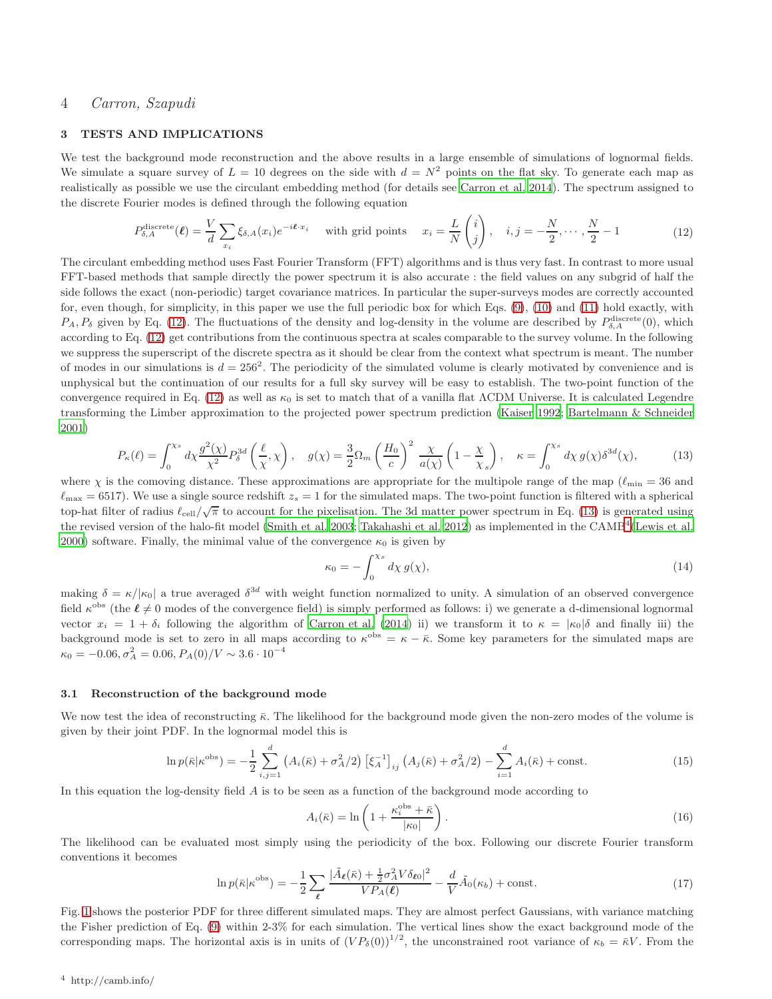#### <span id="page-3-0"></span>3 TESTS AND IMPLICATIONS

We test the background mode reconstruction and the above results in a large ensemble of simulations of lognormal fields. We simulate a square survey of  $L = 10$  degrees on the side with  $d = N^2$  points on the flat sky. To generate each map as realistically as possible we use the circulant embedding method (for details see [Carron et al. 2014](#page-10-12)). The spectrum assigned to the discrete Fourier modes is defined through the following equation

$$
P_{\delta,A}^{\text{discrete}}(\ell) = \frac{V}{d} \sum_{x_i} \xi_{\delta,A}(x_i) e^{-i\ell \cdot x_i} \quad \text{with grid points} \quad x_i = \frac{L}{N} \begin{pmatrix} i \\ j \end{pmatrix}, \quad i, j = -\frac{N}{2}, \cdots, \frac{N}{2} - 1 \tag{12}
$$

<span id="page-3-2"></span>The circulant embedding method uses Fast Fourier Transform (FFT) algorithms and is thus very fast. In contrast to more usual FFT-based methods that sample directly the power spectrum it is also accurate : the field values on any subgrid of half the side follows the exact (non-periodic) target covariance matrices. In particular the super-surveys modes are correctly accounted for, even though, for simplicity, in this paper we use the full periodic box for which Eqs. [\(9\)](#page-2-2), [\(10\)](#page-2-0) and [\(11\)](#page-2-1) hold exactly, with  $P_A, P_{\delta}$  given by Eq. [\(12\)](#page-3-2). The fluctuations of the density and log-density in the volume are described by  $P_{\delta,A}^{\text{discrete}}(0)$ , which according to Eq. [\(12\)](#page-3-2) get contributions from the continuous spectra at scales comparable to the survey volume. In the following we suppress the superscript of the discrete spectra as it should be clear from the context what spectrum is meant. The number of modes in our simulations is  $d = 256^2$ . The periodicity of the simulated volume is clearly motivated by convenience and is unphysical but the continuation of our results for a full sky survey will be easy to establish. The two-point function of the convergence required in Eq. [\(12\)](#page-3-2) as well as  $\kappa_0$  is set to match that of a vanilla flat ΛCDM Universe. It is calculated Legendre transforming the Limber approximation to the projected power spectrum prediction [\(Kaiser 1992;](#page-10-13) [Bartelmann & Schneider](#page-10-7) [2001](#page-10-7))

<span id="page-3-3"></span>
$$
P_{\kappa}(\ell) = \int_0^{\chi_s} d\chi \frac{g^2(\chi)}{\chi^2} P_{\delta}^{3d} \left(\frac{\ell}{\chi}, \chi\right), \quad g(\chi) = \frac{3}{2} \Omega_m \left(\frac{H_0}{c}\right)^2 \frac{\chi}{a(\chi)} \left(1 - \frac{\chi}{\chi_s}\right), \quad \kappa = \int_0^{\chi_s} d\chi \, g(\chi) \delta^{3d}(\chi), \tag{13}
$$

where  $\chi$  is the comoving distance. These approximations are appropriate for the multipole range of the map ( $\ell_{\rm min} = 36$  and  $\ell_{\rm max} = 6517$ ). We use a single source redshift  $z_s = 1$  for the simulated maps. The two-point function is filtered with a spherical top-hat filter of radius  $\ell_{\text{cell}}/\sqrt{\pi}$  to account for the pixelisation. The 3d matter power spectrum in Eq. [\(13\)](#page-3-3) is generated using the revised version of the halo-fit model [\(Smith et al. 2003;](#page-11-7) [Takahashi et al. 2012\)](#page-11-8) as implemented in the CAMB<sup>[4](#page-3-4)</sup> [\(Lewis et al.](#page-10-14) [2000](#page-10-14)) software. Finally, the minimal value of the convergence  $\kappa_0$  is given by

$$
\kappa_0 = -\int_0^{\chi_s} d\chi \, g(\chi),\tag{14}
$$

making  $\delta = \kappa/|\kappa_0|$  a true averaged  $\delta^{3d}$  with weight function normalized to unity. A simulation of an observed convergence field  $\kappa^{\text{obs}}$  (the  $\ell \neq 0$  modes of the convergence field) is simply performed as follows: i) we generate a d-dimensional lognormal vector  $x_i = 1 + \delta_i$  following the algorithm of [Carron et al. \(2014](#page-10-12)) ii) we transform it to  $\kappa = |\kappa_0| \delta$  and finally iii) the background mode is set to zero in all maps according to  $\kappa^{obs} = \kappa - \bar{\kappa}$ . Some key parameters for the simulated maps are  $\kappa_0 = -0.06, \sigma_A^2 = 0.06, P_A(0)/V \sim 3.6 \cdot 10^{-4}$ 

#### <span id="page-3-1"></span>3.1 Reconstruction of the background mode

We now test the idea of reconstructing  $\bar{\kappa}$ . The likelihood for the background mode given the non-zero modes of the volume is given by their joint PDF. In the lognormal model this is

$$
\ln p(\bar{\kappa}|\kappa^{\text{obs}}) = -\frac{1}{2} \sum_{i,j=1}^{d} \left( A_i(\bar{\kappa}) + \sigma_A^2/2 \right) \left[ \xi_A^{-1} \right]_{ij} \left( A_j(\bar{\kappa}) + \sigma_A^2/2 \right) - \sum_{i=1}^{d} A_i(\bar{\kappa}) + \text{const.}
$$
 (15)

In this equation the log-density field  $A$  is to be seen as a function of the background mode according to

$$
A_i(\bar{\kappa}) = \ln\left(1 + \frac{\kappa_i^{\text{obs}} + \bar{\kappa}}{|\kappa_0|}\right). \tag{16}
$$

The likelihood can be evaluated most simply using the periodicity of the box. Following our discrete Fourier transform conventions it becomes

$$
\ln p(\bar{\kappa}|\kappa^{\text{obs}}) = -\frac{1}{2} \sum_{\ell} \frac{|\tilde{A}_{\ell}(\bar{\kappa}) + \frac{1}{2}\sigma_A^2 V \delta_{\ell 0}|^2}{V P_A(\ell)} - \frac{d}{V} \tilde{A}_0(\kappa_b) + \text{const.} \tag{17}
$$

<span id="page-3-5"></span><span id="page-3-4"></span>Fig. [1](#page-4-1) shows the posterior PDF for three different simulated maps. They are almost perfect Gaussians, with variance matching the Fisher prediction of Eq. [\(9\)](#page-2-2) within 2-3% for each simulation. The vertical lines show the exact background mode of the corresponding maps. The horizontal axis is in units of  $(VP_\delta(0))^{1/2}$ , the unconstrained root variance of  $\kappa_b = \bar{\kappa}V$ . From the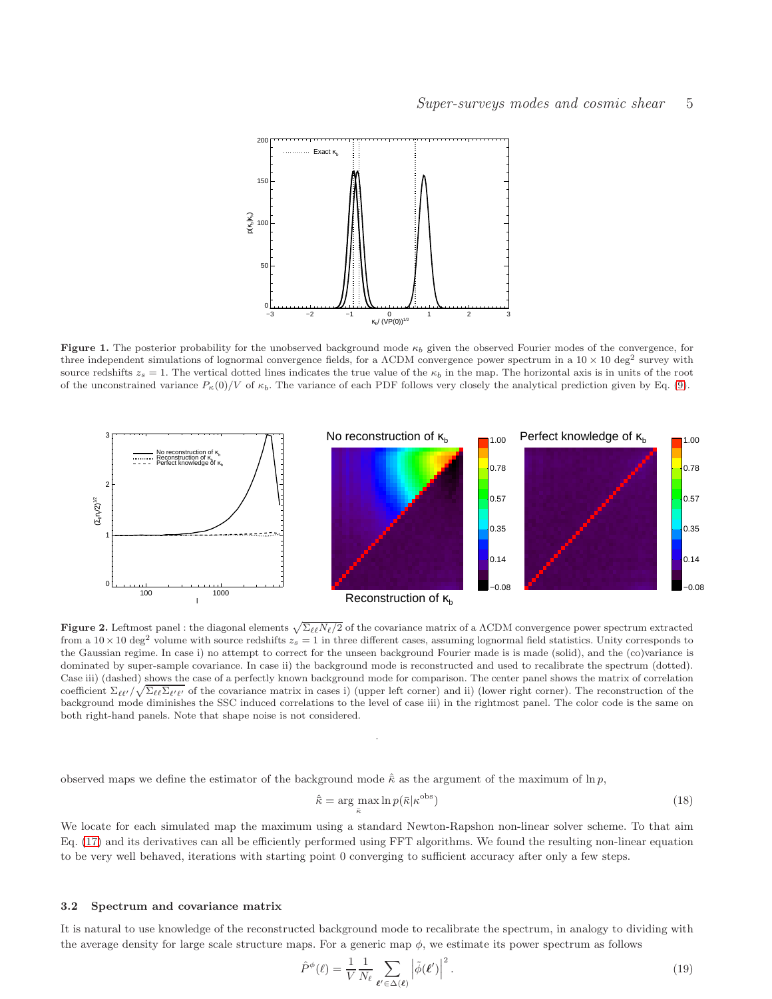

<span id="page-4-1"></span>Figure 1. The posterior probability for the unobserved background mode  $\kappa_b$  given the observed Fourier modes of the convergence, for three independent simulations of lognormal convergence fields, for a  $\Lambda$ CDM convergence power spectrum in a 10  $\times$  10 deg<sup>2</sup> survey with source redshifts  $z_s = 1$ . The vertical dotted lines indicates the true value of the  $\kappa_b$  in the map. The horizontal axis is in units of the root of the unconstrained variance  $P_{\kappa}(0)/V$  of  $\kappa_b$ . The variance of each PDF follows very closely the analytical prediction given by Eq. [\(9\)](#page-2-2).



<span id="page-4-3"></span>**Figure 2.** Leftmost panel : the diagonal elements  $\sqrt{\Sigma_{\ell\ell} N_{\ell}/2}$  of the covariance matrix of a ACDM convergence power spectrum extracted from a  $10 \times 10 \text{ deg}^2$  volume with source redshifts  $z_s = 1$  in three different cases, assuming lognormal field statistics. Unity corresponds to the Gaussian regime. In case i) no attempt to correct for the unseen background Fourier made is is made (solid), and the (co)variance is dominated by super-sample covariance. In case ii) the background mode is reconstructed and used to recalibrate the spectrum (dotted). Case iii) (dashed) shows the case of a perfectly known background mode for comparison. The center panel shows the matrix of correlation coefficient  $\Sigma_{\ell\ell'}/\sqrt{\Sigma_{\ell\ell}\Sigma_{\ell'\ell'}}$  of the covariance matrix in cases i) (upper left corner) and ii) (lower right corner). The reconstruction of the background mode diminishes the SSC induced correlations to the level of case iii) in the rightmost panel. The color code is the same on both right-hand panels. Note that shape noise is not considered.

.

observed maps we define the estimator of the background mode  $\hat{\kappa}$  as the argument of the maximum of ln p,

<span id="page-4-2"></span>
$$
\hat{\kappa} = \underset{\bar{\kappa}}{\arg \max} \ln p(\bar{\kappa}|\kappa^{\text{obs}})
$$
\n(18)

We locate for each simulated map the maximum using a standard Newton-Rapshon non-linear solver scheme. To that aim Eq. [\(17\)](#page-3-5) and its derivatives can all be efficiently performed using FFT algorithms. We found the resulting non-linear equation to be very well behaved, iterations with starting point 0 converging to sufficient accuracy after only a few steps.

#### <span id="page-4-0"></span>3.2 Spectrum and covariance matrix

It is natural to use knowledge of the reconstructed background mode to recalibrate the spectrum, in analogy to dividing with the average density for large scale structure maps. For a generic map  $\phi$ , we estimate its power spectrum as follows

$$
\hat{P}^{\phi}(\ell) = \frac{1}{V} \frac{1}{N_{\ell}} \sum_{\ell' \in \Delta(\ell)} \left| \tilde{\phi}(\ell') \right|^2.
$$
\n(19)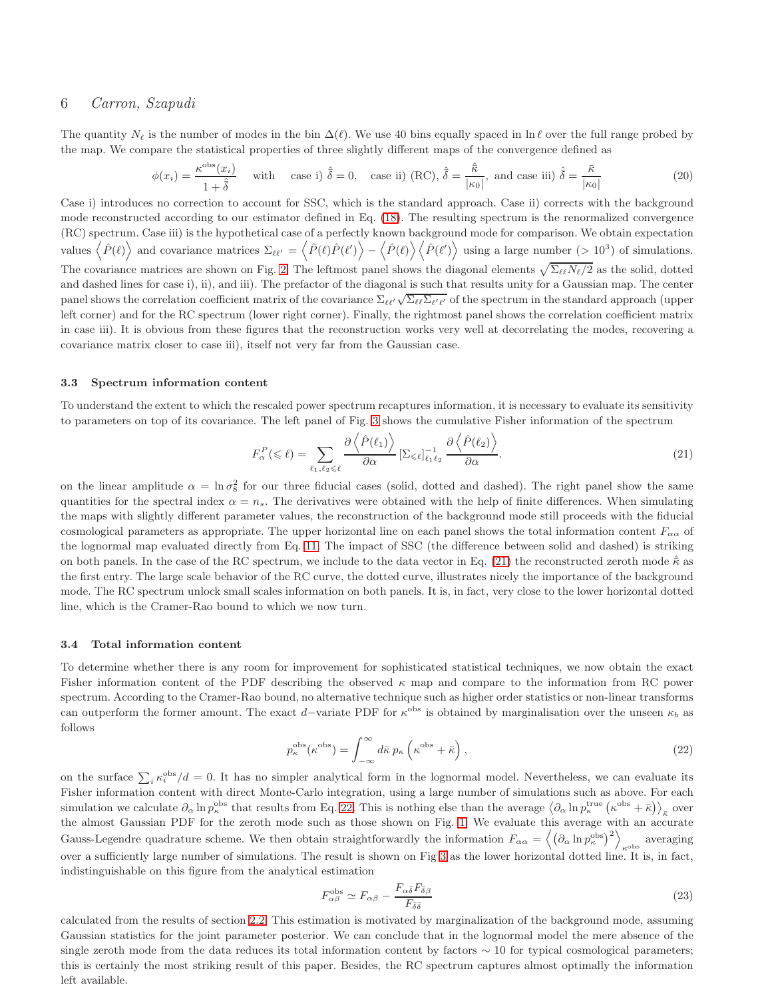The quantity  $N_{\ell}$  is the number of modes in the bin  $\Delta(\ell)$ . We use 40 bins equally spaced in ln  $\ell$  over the full range probed by the map. We compare the statistical properties of three slightly different maps of the convergence defined as

$$
\phi(x_i) = \frac{\kappa^{\text{obs}}(x_i)}{1 + \hat{\delta}} \quad \text{with} \quad \text{case i) } \hat{\delta} = 0, \quad \text{case ii) (RC)}, \hat{\delta} = \frac{\hat{\kappa}}{|\kappa_0|}, \text{ and case iii) } \hat{\delta} = \frac{\bar{\kappa}}{|\kappa_0|} \tag{20}
$$

Case i) introduces no correction to account for SSC, which is the standard approach. Case ii) corrects with the background mode reconstructed according to our estimator defined in Eq. [\(18\)](#page-4-2). The resulting spectrum is the renormalized convergence (RC) spectrum. Case iii) is the hypothetical case of a perfectly known background mode for comparison. We obtain expectation values  $\langle \hat{P}(\ell) \rangle$  and covariance matrices  $\Sigma_{\ell\ell'} = \langle \hat{P}(\ell) \hat{P}(\ell') \rangle - \langle \hat{P}(\ell) \rangle \langle \hat{P}(\ell') \rangle$  using a large number (> 10<sup>3</sup>) of simulations. The covariance matrices are shown on Fig. [2.](#page-4-3) The leftmost panel shows the diagonal elements  $\sqrt{\Sigma_{\ell\ell}N_{\ell}/2}$  as the solid, dotted and dashed lines for case i), ii), and iii). The prefactor of the diagonal is such that results unity for a Gaussian map. The center panel shows the correlation coefficient matrix of the covariance  $\Sigma_{\ell\ell'}\sqrt{\Sigma_{\ell\ell}\Sigma_{\ell'\ell'}}$  of the spectrum in the standard approach (upper left corner) and for the RC spectrum (lower right corner). Finally, the rightmost panel shows the correlation coefficient matrix in case iii). It is obvious from these figures that the reconstruction works very well at decorrelating the modes, recovering a covariance matrix closer to case iii), itself not very far from the Gaussian case.

#### <span id="page-5-0"></span>3.3 Spectrum information content

To understand the extent to which the rescaled power spectrum recaptures information, it is necessary to evaluate its sensitivity to parameters on top of its covariance. The left panel of Fig. [3](#page-6-1) shows the cumulative Fisher information of the spectrum

<span id="page-5-2"></span>
$$
F_{\alpha}^{P}(\leqslant \ell) = \sum_{\ell_{1},\ell_{2} \leqslant \ell} \frac{\partial \left\langle \hat{P}(\ell_{1}) \right\rangle}{\partial \alpha} \left[ \Sigma_{\leqslant \ell} \right]_{\ell_{1} \ell_{2}}^{-1} \frac{\partial \left\langle \hat{P}(\ell_{2}) \right\rangle}{\partial \alpha}.
$$
\n(21)

on the linear amplitude  $\alpha = \ln \sigma_8^2$  for our three fiducial cases (solid, dotted and dashed). The right panel show the same quantities for the spectral index  $\alpha = n_s$ . The derivatives were obtained with the help of finite differences. When simulating the maps with slightly different parameter values, the reconstruction of the background mode still proceeds with the fiducial cosmological parameters as appropriate. The upper horizontal line on each panel shows the total information content  $F_{\alpha\alpha}$  of the lognormal map evaluated directly from Eq. [11.](#page-2-1) The impact of SSC (the difference between solid and dashed) is striking on both panels. In the case of the RC spectrum, we include to the data vector in Eq. [\(21\)](#page-5-2) the reconstructed zeroth mode  $\hat{\kappa}$  as the first entry. The large scale behavior of the RC curve, the dotted curve, illustrates nicely the importance of the background mode. The RC spectrum unlock small scales information on both panels. It is, in fact, very close to the lower horizontal dotted line, which is the Cramer-Rao bound to which we now turn.

#### <span id="page-5-1"></span>3.4 Total information content

To determine whether there is any room for improvement for sophisticated statistical techniques, we now obtain the exact Fisher information content of the PDF describing the observed  $\kappa$  map and compare to the information from RC power spectrum. According to the Cramer-Rao bound, no alternative technique such as higher order statistics or non-linear transforms can outperform the former amount. The exact d–variate PDF for  $\kappa^{obs}$  is obtained by marginalisation over the unseen  $\kappa_b$  as follows

<span id="page-5-3"></span>
$$
p_{\kappa}^{\text{obs}}(\kappa^{\text{obs}}) = \int_{-\infty}^{\infty} d\bar{\kappa} \, p_{\kappa} \left( \kappa^{\text{obs}} + \bar{\kappa} \right), \tag{22}
$$

on the surface  $\sum_i \kappa_i^{\text{obs}}/d = 0$ . It has no simpler analytical form in the lognormal model. Nevertheless, we can evaluate its Fisher information content with direct Monte-Carlo integration, using a large number of simulations such as above. For each simulation we calculate  $\partial_{\alpha} \ln p_{\kappa}^{\text{obs}}$  that results from Eq. [22.](#page-5-3) This is nothing else than the average  $\langle \partial_{\alpha} \ln p_{\kappa}^{\text{true}} (\kappa^{\text{obs}} + \bar{\kappa}) \rangle_{\bar{\kappa}}$  over the almost Gaussian PDF for the zeroth mode such as those shown on Fig. [1.](#page-4-1) We evaluate this average with an accurate Gauss-Legendre quadrature scheme. We then obtain straightforwardly the information  $F_{\alpha\alpha} = \langle (\partial_{\alpha} \ln p_{\kappa}^{\text{obs}})^2 \rangle$  $\kappa^{\text{obs}}$  averaging over a sufficiently large number of simulations. The result is shown on Fig [3](#page-6-1) as the lower horizontal dotted line. It is, in fact, indistinguishable on this figure from the analytical estimation

<span id="page-5-4"></span>
$$
F^{\rm obs}_{\alpha\beta} \simeq F_{\alpha\beta} - \frac{F_{\alpha\bar{\delta}}F_{\bar{\delta}\beta}}{F_{\bar{\delta}\bar{\delta}}} \tag{23}
$$

calculated from the results of section [2.2.](#page-2-3) This estimation is motivated by marginalization of the background mode, assuming Gaussian statistics for the joint parameter posterior. We can conclude that in the lognormal model the mere absence of the single zeroth mode from the data reduces its total information content by factors  $\sim 10$  for typical cosmological parameters; this is certainly the most striking result of this paper. Besides, the RC spectrum captures almost optimally the information left available.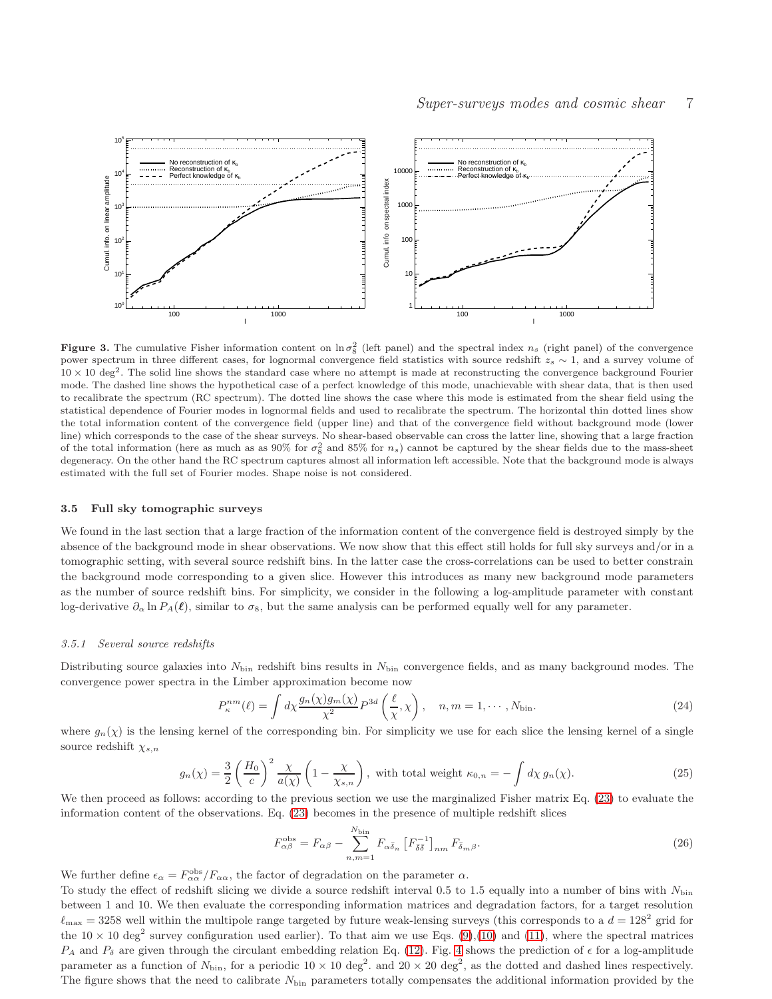

<span id="page-6-1"></span>**Figure 3.** The cumulative Fisher information content on  $\ln \sigma_8^2$  (left panel) and the spectral index  $n_s$  (right panel) of the convergence power spectrum in three different cases, for lognormal convergence field statistics with source redshift  $z_s \sim 1$ , and a survey volume of  $10 \times 10 \text{ deg}^2$ . The solid line shows the standard case where no attempt is made at reconstructing the convergence background Fourier mode. The dashed line shows the hypothetical case of a perfect knowledge of this mode, unachievable with shear data, that is then used to recalibrate the spectrum (RC spectrum). The dotted line shows the case where this mode is estimated from the shear field using the statistical dependence of Fourier modes in lognormal fields and used to recalibrate the spectrum. The horizontal thin dotted lines show the total information content of the convergence field (upper line) and that of the convergence field without background mode (lower line) which corresponds to the case of the shear surveys. No shear-based observable can cross the latter line, showing that a large fraction of the total information (here as much as as 90% for  $\sigma_8^2$  and 85% for  $n_s$ ) cannot be captured by the shear fields due to the mass-sheet degeneracy. On the other hand the RC spectrum captures almost all information left accessible. Note that the background mode is always estimated with the full set of Fourier modes. Shape noise is not considered.

#### <span id="page-6-0"></span>3.5 Full sky tomographic surveys

We found in the last section that a large fraction of the information content of the convergence field is destroyed simply by the absence of the background mode in shear observations. We now show that this effect still holds for full sky surveys and/or in a tomographic setting, with several source redshift bins. In the latter case the cross-correlations can be used to better constrain the background mode corresponding to a given slice. However this introduces as many new background mode parameters as the number of source redshift bins. For simplicity, we consider in the following a log-amplitude parameter with constant log-derivative  $\partial_{\alpha} \ln P_A(\ell)$ , similar to  $\sigma_8$ , but the same analysis can be performed equally well for any parameter.

#### 3.5.1 Several source redshifts

Distributing source galaxies into  $N_{\text{bin}}$  redshift bins results in  $N_{\text{bin}}$  convergence fields, and as many background modes. The convergence power spectra in the Limber approximation become now

$$
P_{\kappa}^{nm}(\ell) = \int d\chi \frac{g_n(\chi)g_m(\chi)}{\chi^2} P^{3d}\left(\frac{\ell}{\chi}, \chi\right), \quad n, m = 1, \cdots, N_{\text{bin}}.
$$
 (24)

where  $g_n(\chi)$  is the lensing kernel of the corresponding bin. For simplicity we use for each slice the lensing kernel of a single source redshift  $\chi_{s,n}$ 

$$
g_n(\chi) = \frac{3}{2} \left(\frac{H_0}{c}\right)^2 \frac{\chi}{a(\chi)} \left(1 - \frac{\chi}{\chi_{s,n}}\right), \text{ with total weight } \kappa_{0,n} = -\int d\chi \, g_n(\chi). \tag{25}
$$

We then proceed as follows: according to the previous section we use the marginalized Fisher matrix Eq. [\(23\)](#page-5-4) to evaluate the information content of the observations. Eq. [\(23\)](#page-5-4) becomes in the presence of multiple redshift slices

$$
F_{\alpha\beta}^{\text{obs}} = F_{\alpha\beta} - \sum_{n,m=1}^{N_{\text{bin}}} F_{\alpha\bar{\delta}_n} \left[ F_{\bar{\delta}\bar{\delta}}^{-1} \right]_{nm} F_{\bar{\delta}_m\beta}.
$$
 (26)

We further define  $\epsilon_{\alpha} = F_{\alpha\alpha}^{\text{obs}}/F_{\alpha\alpha}$ , the factor of degradation on the parameter  $\alpha$ .

To study the effect of redshift slicing we divide a source redshift interval  $0.5$  to  $1.5$  equally into a number of bins with  $N_{\text{bin}}$ between 1 and 10. We then evaluate the corresponding information matrices and degradation factors, for a target resolution  $\ell_{\rm max} = 3258$  well within the multipole range targeted by future weak-lensing surveys (this corresponds to a  $d = 128^2$  grid for the  $10 \times 10$  deg<sup>2</sup> survey configuration used earlier). To that aim we use Eqs. [\(9\)](#page-2-2),[\(10\)](#page-2-0) and [\(11\)](#page-2-1), where the spectral matrices  $P_A$  and  $P_\delta$  are given through the circulant embedding relation Eq. [\(12\)](#page-3-2). Fig. [4](#page-7-1) shows the prediction of  $\epsilon$  for a log-amplitude parameter as a function of  $N_{\text{bin}}$ , for a periodic  $10 \times 10 \text{ deg}^2$ . and  $20 \times 20 \text{ deg}^2$ , as the dotted and dashed lines respectively. The figure shows that the need to calibrate  $N_{\text{bin}}$  parameters totally compensates the additional information provided by the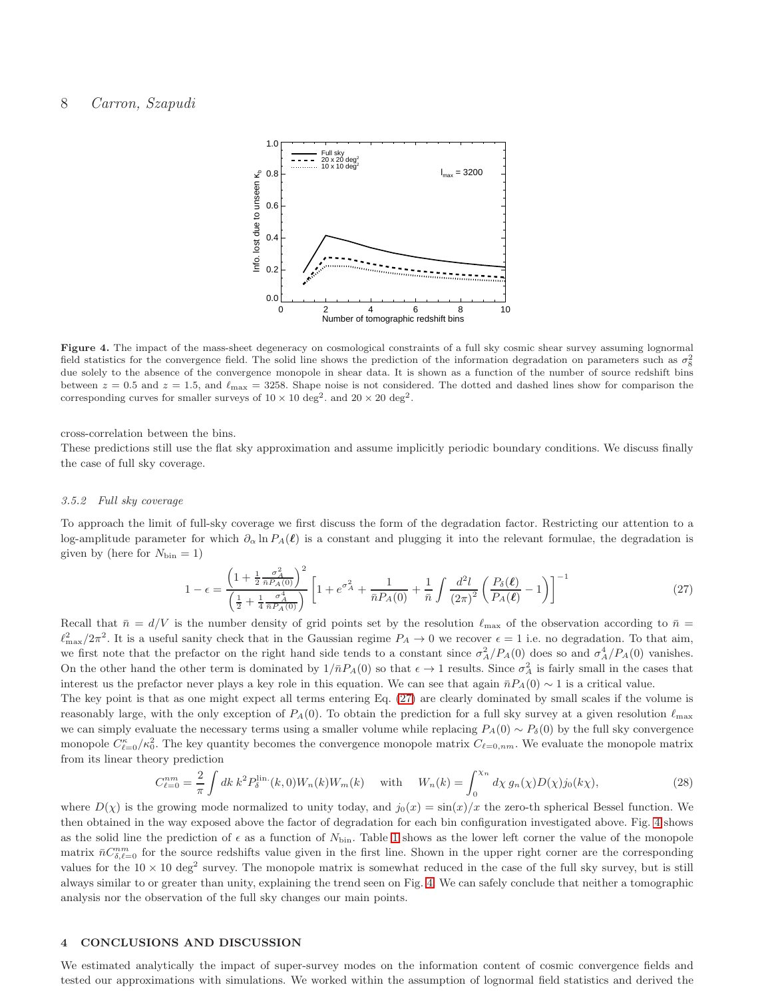

<span id="page-7-1"></span>Figure 4. The impact of the mass-sheet degeneracy on cosmological constraints of a full sky cosmic shear survey assuming lognormal field statistics for the convergence field. The solid line shows the prediction of the information degradation on parameters such as  $\sigma_8^2$ due solely to the absence of the convergence monopole in shear data. It is shown as a function of the number of source redshift bins between  $z = 0.5$  and  $z = 1.5$ , and  $\ell_{\text{max}} = 3258$ . Shape noise is not considered. The dotted and dashed lines show for comparison the corresponding curves for smaller surveys of  $10 \times 10 \text{ deg}^2$ . and  $20 \times 20 \text{ deg}^2$ .

cross-correlation between the bins.

These predictions still use the flat sky approximation and assume implicitly periodic boundary conditions. We discuss finally the case of full sky coverage.

### 3.5.2 Full sky coverage

To approach the limit of full-sky coverage we first discuss the form of the degradation factor. Restricting our attention to a log-amplitude parameter for which  $\partial_{\alpha} \ln P_A(\ell)$  is a constant and plugging it into the relevant formulae, the degradation is given by (here for  $N_{\text{bin}} = 1$ )

<span id="page-7-2"></span>
$$
1 - \epsilon = \frac{\left(1 + \frac{1}{2} \frac{\sigma_A^2}{\bar{n} P_A(0)}\right)^2}{\left(\frac{1}{2} + \frac{1}{4} \frac{\sigma_A^4}{\bar{n} P_A(0)}\right)} \left[1 + e^{\sigma_A^2} + \frac{1}{\bar{n} P_A(0)} + \frac{1}{\bar{n}} \int \frac{d^2 l}{(2\pi)^2} \left(\frac{P_\delta(\ell)}{P_A(\ell)} - 1\right)\right]^{-1} \tag{27}
$$

Recall that  $\bar{n} = d/V$  is the number density of grid points set by the resolution  $\ell_{\text{max}}$  of the observation according to  $\bar{n}$  $\ell_{\text{max}}^2/2\pi^2$ . It is a useful sanity check that in the Gaussian regime  $P_A \to 0$  we recover  $\epsilon = 1$  i.e. no degradation. To that aim, we first note that the prefactor on the right hand side tends to a constant since  $\sigma_A^2/P_A(0)$  does so and  $\sigma_A^4/P_A(0)$  vanishes. On the other hand the other term is dominated by  $1/\bar{n}P_A(0)$  so that  $\epsilon \to 1$  results. Since  $\sigma_A^2$  is fairly small in the cases that interest us the prefactor never plays a key role in this equation. We can see that again  $\bar{n}P_A(0) \sim 1$  is a critical value.

The key point is that as one might expect all terms entering Eq. [\(27\)](#page-7-2) are clearly dominated by small scales if the volume is reasonably large, with the only exception of  $P_A(0)$ . To obtain the prediction for a full sky survey at a given resolution  $\ell_{\rm max}$ we can simply evaluate the necessary terms using a smaller volume while replacing  $P_A(0) \sim P_\delta(0)$  by the full sky convergence monopole  $C_{\ell=0}^{\kappa}/\kappa_0^2$ . The key quantity becomes the convergence monopole matrix  $C_{\ell=0,nm}$ . We evaluate the monopole matrix from its linear theory prediction

$$
C_{\ell=0}^{nm} = \frac{2}{\pi} \int dk \, k^2 P_{\delta}^{\text{lin.}}(k,0) W_n(k) W_m(k) \quad \text{with} \quad W_n(k) = \int_0^{\chi_n} d\chi \, g_n(\chi) D(\chi) j_0(k\chi), \tag{28}
$$

where  $D(\chi)$  is the growing mode normalized to unity today, and  $j_0(x) = \sin(x)/x$  the zero-th spherical Bessel function. We then obtained in the way exposed above the factor of degradation for each bin configuration investigated above. Fig. [4](#page-7-1) shows as the solid line the prediction of  $\epsilon$  as a function of  $N_{\text{bin}}$ . Table [1](#page-8-0) shows as the lower left corner the value of the monopole matrix  $\bar{n}C_{\delta,\ell=0}^{nm}$  for the source redshifts value given in the first line. Shown in the upper right corner are the corresponding values for the  $10 \times 10$  deg<sup>2</sup> survey. The monopole matrix is somewhat reduced in the case of the full sky survey, but is still always similar to or greater than unity, explaining the trend seen on Fig. [4.](#page-7-1) We can safely conclude that neither a tomographic analysis nor the observation of the full sky changes our main points.

## <span id="page-7-0"></span>4 CONCLUSIONS AND DISCUSSION

We estimated analytically the impact of super-survey modes on the information content of cosmic convergence fields and tested our approximations with simulations. We worked within the assumption of lognormal field statistics and derived the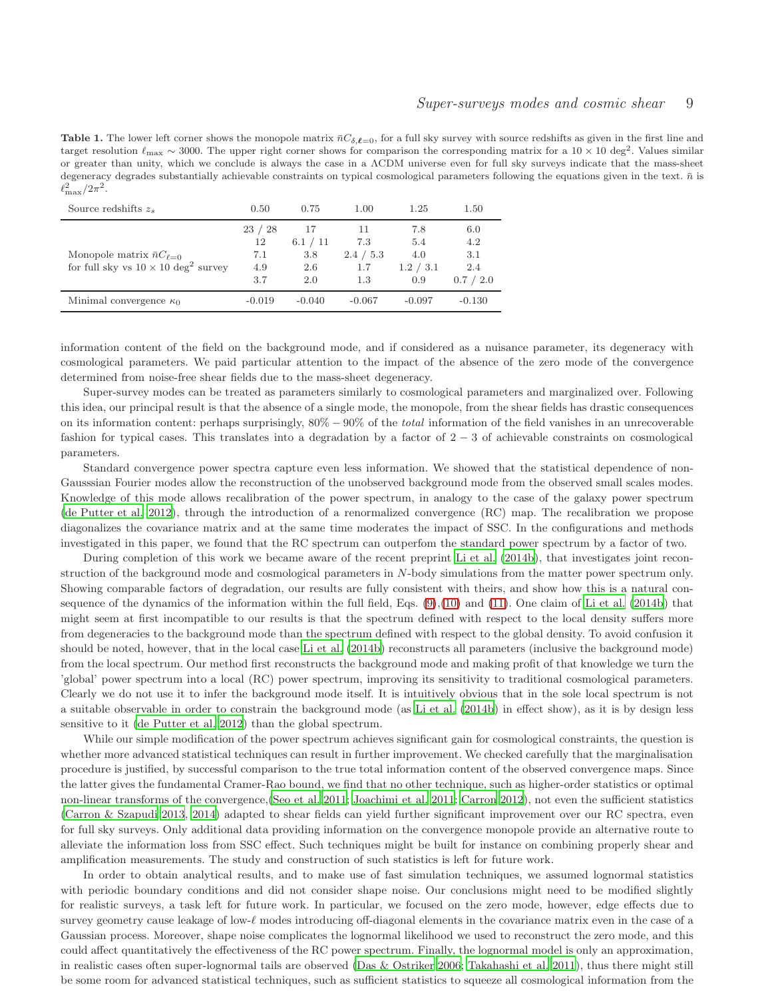<span id="page-8-0"></span>**Table 1.** The lower left corner shows the monopole matrix  $\bar{n}C_{\delta,\ell=0}$ , for a full sky survey with source redshifts as given in the first line and target resolution  $\ell_{\rm max} \sim 3000$ . The upper right corner shows for comparison the corresponding matrix for a  $10 \times 10 \text{ deg}^2$ . Values similar or greater than unity, which we conclude is always the case in a ΛCDM universe even for full sky surveys indicate that the mass-sheet degeneracy degrades substantially achievable constraints on typical cosmological parameters following the equations given in the text.  $\bar{n}$  is  $\ell_{\rm max}^2/2\pi^2$ .

| Source redshifts $z_s$                                                                     | 0.50              | 0.75              | 1.00                    | 1.25                    | 1.50                    |
|--------------------------------------------------------------------------------------------|-------------------|-------------------|-------------------------|-------------------------|-------------------------|
|                                                                                            | 23/28<br>12       | 17<br>6.1 / 11    | 11<br>7.3               | 7.8<br>5.4              | 6.0<br>4.2              |
| Monopole matrix $\bar{n}C_{\ell=0}$<br>for full sky vs $10 \times 10 \text{ deg}^2$ survey | 7.1<br>4.9<br>3.7 | 3.8<br>2.6<br>2.0 | 2.4 / 5.3<br>1.7<br>1.3 | 4.0<br>1.2 / 3.1<br>0.9 | 3.1<br>2.4<br>0.7 / 2.0 |
| Minimal convergence $\kappa_0$                                                             | $-0.019$          | $-0.040$          | $-0.067$                | $-0.097$                | $-0.130$                |

information content of the field on the background mode, and if considered as a nuisance parameter, its degeneracy with cosmological parameters. We paid particular attention to the impact of the absence of the zero mode of the convergence determined from noise-free shear fields due to the mass-sheet degeneracy.

Super-survey modes can be treated as parameters similarly to cosmological parameters and marginalized over. Following this idea, our principal result is that the absence of a single mode, the monopole, from the shear fields has drastic consequences on its information content: perhaps surprisingly, 80% − 90% of the *total* information of the field vanishes in an unrecoverable fashion for typical cases. This translates into a degradation by a factor of 2 − 3 of achievable constraints on cosmological parameters.

Standard convergence power spectra capture even less information. We showed that the statistical dependence of non-Gausssian Fourier modes allow the reconstruction of the unobserved background mode from the observed small scales modes. Knowledge of this mode allows recalibration of the power spectrum, in analogy to the case of the galaxy power spectrum [\(de Putter et al. 2012](#page-10-9)), through the introduction of a renormalized convergence (RC) map. The recalibration we propose diagonalizes the covariance matrix and at the same time moderates the impact of SSC. In the configurations and methods investigated in this paper, we found that the RC spectrum can outperfom the standard power spectrum by a factor of two.

During completion of this work we became aware of the recent preprint [Li et al. \(2014b\)](#page-10-15), that investigates joint reconstruction of the background mode and cosmological parameters in N-body simulations from the matter power spectrum only. Showing comparable factors of degradation, our results are fully consistent with theirs, and show how this is a natural consequence of the dynamics of the information within the full field, Eqs.  $(9),(10)$  $(9),(10)$  and  $(11)$ . One claim of Li et al.  $(2014b)$  that might seem at first incompatible to our results is that the spectrum defined with respect to the local density suffers more from degeneracies to the background mode than the spectrum defined with respect to the global density. To avoid confusion it should be noted, however, that in the local case [Li et al. \(2014b](#page-10-15)) reconstructs all parameters (inclusive the background mode) from the local spectrum. Our method first reconstructs the background mode and making profit of that knowledge we turn the 'global' power spectrum into a local (RC) power spectrum, improving its sensitivity to traditional cosmological parameters. Clearly we do not use it to infer the background mode itself. It is intuitively obvious that in the sole local spectrum is not a suitable observable in order to constrain the background mode (as [Li et al. \(2014b](#page-10-15)) in effect show), as it is by design less sensitive to it [\(de Putter et al. 2012\)](#page-10-9) than the global spectrum.

While our simple modification of the power spectrum achieves significant gain for cosmological constraints, the question is whether more advanced statistical techniques can result in further improvement. We checked carefully that the marginalisation procedure is justified, by successful comparison to the true total information content of the observed convergence maps. Since the latter gives the fundamental Cramer-Rao bound, we find that no other technique, such as higher-order statistics or optimal non-linear transforms of the convergence,[\(Seo et al. 2011](#page-10-16); [Joachimi et al. 2011;](#page-10-17) [Carron 2012](#page-10-18)), not even the sufficient statistics [\(Carron & Szapudi 2013,](#page-10-19) [2014](#page-10-20)) adapted to shear fields can yield further significant improvement over our RC spectra, even for full sky surveys. Only additional data providing information on the convergence monopole provide an alternative route to alleviate the information loss from SSC effect. Such techniques might be built for instance on combining properly shear and amplification measurements. The study and construction of such statistics is left for future work.

In order to obtain analytical results, and to make use of fast simulation techniques, we assumed lognormal statistics with periodic boundary conditions and did not consider shape noise. Our conclusions might need to be modified slightly for realistic surveys, a task left for future work. In particular, we focused on the zero mode, however, edge effects due to survey geometry cause leakage of low-ℓ modes introducing off-diagonal elements in the covariance matrix even in the case of a Gaussian process. Moreover, shape noise complicates the lognormal likelihood we used to reconstruct the zero mode, and this could affect quantitatively the effectiveness of the RC power spectrum. Finally, the lognormal model is only an approximation, in realistic cases often super-lognormal tails are observed [\(Das & Ostriker 2006;](#page-10-21) [Takahashi et al. 2011](#page-11-9)), thus there might still be some room for advanced statistical techniques, such as sufficient statistics to squeeze all cosmological information from the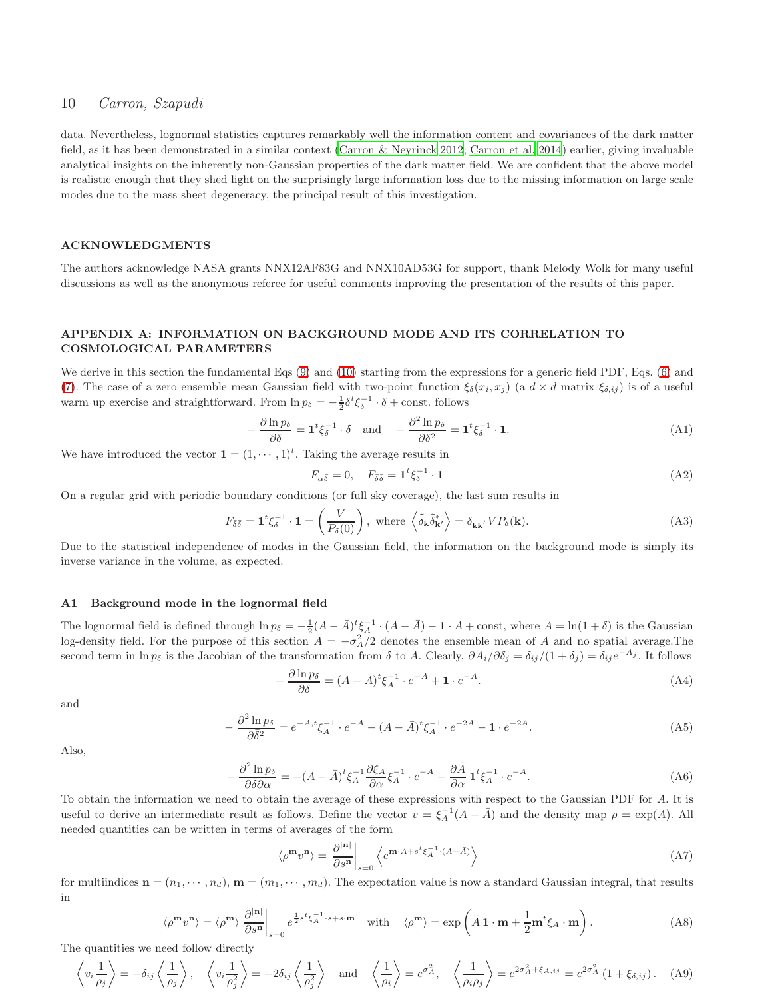data. Nevertheless, lognormal statistics captures remarkably well the information content and covariances of the dark matter field, as it has been demonstrated in a similar context [\(Carron & Neyrinck 2012](#page-10-22); [Carron et al. 2014\)](#page-10-12) earlier, giving invaluable analytical insights on the inherently non-Gaussian properties of the dark matter field. We are confident that the above model is realistic enough that they shed light on the surprisingly large information loss due to the missing information on large scale modes due to the mass sheet degeneracy, the principal result of this investigation.

#### ACKNOWLEDGMENTS

The authors acknowledge NASA grants NNX12AF83G and NNX10AD53G for support, thank Melody Wolk for many useful discussions as well as the anonymous referee for useful comments improving the presentation of the results of this paper.

## <span id="page-9-0"></span>APPENDIX A: INFORMATION ON BACKGROUND MODE AND ITS CORRELATION TO COSMOLOGICAL PARAMETERS

We derive in this section the fundamental Eqs [\(9\)](#page-2-2) and [\(10\)](#page-2-0) starting from the expressions for a generic field PDF, Eqs. [\(6\)](#page-2-4) and [\(7\)](#page-2-5). The case of a zero ensemble mean Gaussian field with two-point function  $\xi_{\delta}(x_i, x_j)$  (a  $d \times d$  matrix  $\xi_{\delta, ij}$ ) is of a useful warm up exercise and straightforward. From  $\ln p_{\delta} = -\frac{1}{2} \delta^t \xi_{\delta}^{-1} \cdot \delta + \text{const.}$  follows

$$
-\frac{\partial \ln p_{\delta}}{\partial \bar{\delta}} = \mathbf{1}^t \xi_{\delta}^{-1} \cdot \delta \quad \text{and} \quad -\frac{\partial^2 \ln p_{\delta}}{\partial \bar{\delta}^2} = \mathbf{1}^t \xi_{\delta}^{-1} \cdot \mathbf{1}.
$$
 (A1)

We have introduced the vector  $\mathbf{1} = (1, \dots, 1)^t$ . Taking the average results in

<span id="page-9-1"></span>
$$
F_{\alpha\bar{\delta}} = 0, \quad F_{\bar{\delta}\bar{\delta}} = \mathbf{1}^t \xi_{\delta}^{-1} \cdot \mathbf{1}
$$
\n(A2)

On a regular grid with periodic boundary conditions (or full sky coverage), the last sum results in

$$
F_{\bar{\delta}\bar{\delta}} = \mathbf{1}^t \xi_{\delta}^{-1} \cdot \mathbf{1} = \left(\frac{V}{P_{\delta}(0)}\right), \text{ where } \left\langle \tilde{\delta}_{\mathbf{k}} \tilde{\delta}_{\mathbf{k}'}^* \right\rangle = \delta_{\mathbf{k}\mathbf{k}'} V P_{\delta}(\mathbf{k}). \tag{A3}
$$

Due to the statistical independence of modes in the Gaussian field, the information on the background mode is simply its inverse variance in the volume, as expected.

## A1 Background mode in the lognormal field

The lognormal field is defined through  $\ln p_{\delta} = -\frac{1}{2}(A - \bar{A})^t \xi_A^{-1} \cdot (A - \bar{A}) - 1 \cdot A + \text{const},$  where  $A = \ln(1 + \delta)$  is the Gaussian log-density field. For the purpose of this section  $\overline{A} = -\sigma_A^2/2$  denotes the ensemble mean of A and no spatial average. The second term in  $\ln p_{\delta}$  is the Jacobian of the transformation from  $\delta$  to A. Clearly,  $\partial A_i/\partial \delta_j = \delta_{ij}/(1+\delta_j) = \delta_{ij}e^{-A_j}$ . It follows

$$
-\frac{\partial \ln p_{\delta}}{\partial \bar{\delta}} = (A - \bar{A})^t \xi_A^{-1} \cdot e^{-A} + \mathbf{1} \cdot e^{-A}.
$$
\n(A4)

and

$$
-\frac{\partial^2 \ln p_\delta}{\partial \bar{\delta}^2} = e^{-A, t} \xi_A^{-1} \cdot e^{-A} - (A - \bar{A})^t \xi_A^{-1} \cdot e^{-2A} - 1 \cdot e^{-2A}.
$$
 (A5)

Also,

$$
-\frac{\partial^2 \ln p_\delta}{\partial \bar{\delta} \partial \alpha} = -(A - \bar{A})^t \xi_A^{-1} \frac{\partial \xi_A}{\partial \alpha} \xi_A^{-1} \cdot e^{-A} - \frac{\partial \bar{A}}{\partial \alpha} \mathbf{1}^t \xi_A^{-1} \cdot e^{-A}.
$$
 (A6)

To obtain the information we need to obtain the average of these expressions with respect to the Gaussian PDF for A. It is useful to derive an intermediate result as follows. Define the vector  $v = \xi_A^{-1}(A - \bar{A})$  and the density map  $\rho = \exp(A)$ . All needed quantities can be written in terms of averages of the form

$$
\langle \rho^m v^n \rangle = \left. \frac{\partial^{|\mathbf{n}|}}{\partial s^n} \right|_{s=0} \left\langle e^{\mathbf{m} \cdot A + s^t \xi_A^{-1} \cdot (A - \bar{A})} \right\rangle \tag{A7}
$$

for multiindices  $\mathbf{n} = (n_1, \dots, n_d)$ ,  $\mathbf{m} = (m_1, \dots, m_d)$ . The expectation value is now a standard Gaussian integral, that results in

$$
\langle \rho^m v^n \rangle = \langle \rho^m \rangle \left. \frac{\partial^{|\mathbf{n}|}}{\partial s^n} \right|_{s=0} e^{\frac{1}{2}s^t \xi_A^{-1} \cdot s + s \cdot \mathbf{m}} \quad \text{with} \quad \langle \rho^m \rangle = \exp\left(\bar{A} \mathbf{1} \cdot \mathbf{m} + \frac{1}{2} \mathbf{m}^t \xi_A \cdot \mathbf{m}\right). \tag{A8}
$$

The quantities we need follow directly

$$
\left\langle v_i \frac{1}{\rho_j} \right\rangle = -\delta_{ij} \left\langle \frac{1}{\rho_j} \right\rangle, \quad \left\langle v_i \frac{1}{\rho_j^2} \right\rangle = -2\delta_{ij} \left\langle \frac{1}{\rho_j^2} \right\rangle \quad \text{and} \quad \left\langle \frac{1}{\rho_i} \right\rangle = e^{\sigma_A^2}, \quad \left\langle \frac{1}{\rho_i \rho_j} \right\rangle = e^{2\sigma_A^2 + \xi_{A,ij}} = e^{2\sigma_A^2} \left(1 + \xi_{\delta,ij}\right). \tag{A9}
$$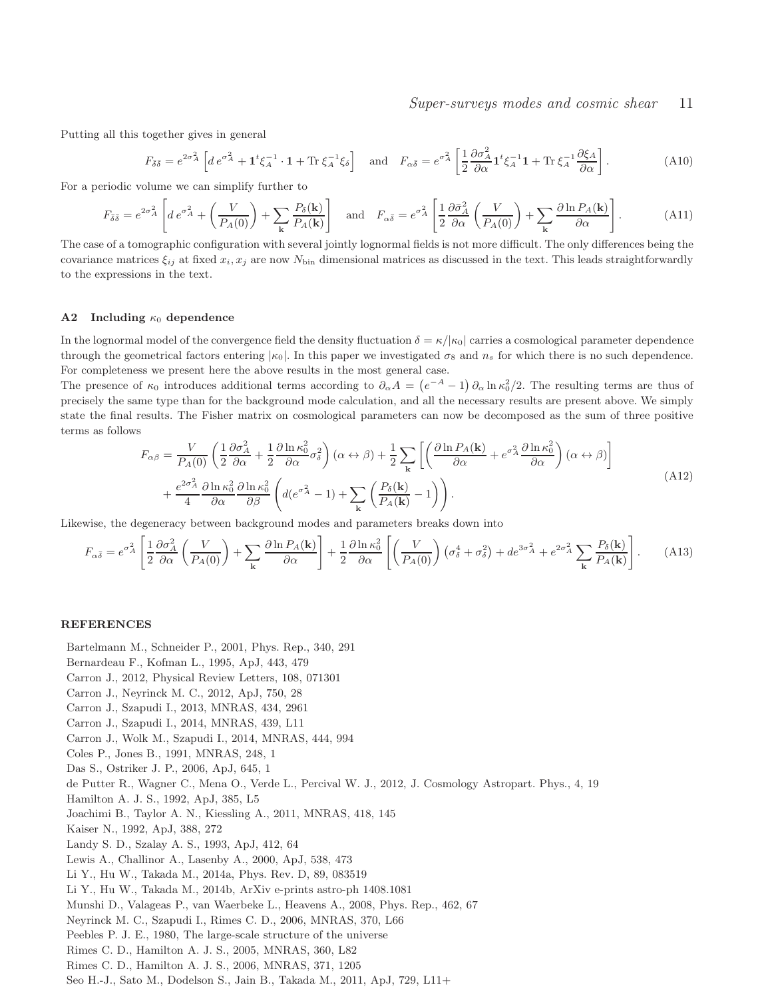Putting all this together gives in general

$$
F_{\bar{\delta}\bar{\delta}} = e^{2\sigma_A^2} \left[ d e^{\sigma_A^2} + \mathbf{1}^t \xi_A^{-1} \cdot \mathbf{1} + \text{Tr} \xi_A^{-1} \xi_\delta \right] \quad \text{and} \quad F_{\alpha\bar{\delta}} = e^{\sigma_A^2} \left[ \frac{1}{2} \frac{\partial \sigma_A^2}{\partial \alpha} \mathbf{1}^t \xi_A^{-1} \mathbf{1} + \text{Tr} \xi_A^{-1} \frac{\partial \xi_A}{\partial \alpha} \right]. \tag{A10}
$$

For a periodic volume we can simplify further to

$$
F_{\bar{\delta}\bar{\delta}} = e^{2\sigma_A^2} \left[ d e^{\sigma_A^2} + \left( \frac{V}{P_A(0)} \right) + \sum_{\mathbf{k}} \frac{P_{\delta}(\mathbf{k})}{P_A(\mathbf{k})} \right] \quad \text{and} \quad F_{\alpha\bar{\delta}} = e^{\sigma_A^2} \left[ \frac{1}{2} \frac{\partial \bar{\sigma}_A^2}{\partial \alpha} \left( \frac{V}{P_A(0)} \right) + \sum_{\mathbf{k}} \frac{\partial \ln P_A(\mathbf{k})}{\partial \alpha} \right]. \tag{A11}
$$

The case of a tomographic configuration with several jointly lognormal fields is not more difficult. The only differences being the covariance matrices  $\xi_{ij}$  at fixed  $x_i, x_j$  are now  $N_{\text{bin}}$  dimensional matrices as discussed in the text. This leads straightforwardly to the expressions in the text.

#### A2 Including  $\kappa_0$  dependence

In the lognormal model of the convergence field the density fluctuation  $\delta = \kappa/|\kappa_0|$  carries a cosmological parameter dependence through the geometrical factors entering  $|\kappa_0|$ . In this paper we investigated  $\sigma_8$  and  $n_s$  for which there is no such dependence. For completeness we present here the above results in the most general case.

The presence of  $\kappa_0$  introduces additional terms according to  $\partial_{\alpha}A = (e^{-A} - 1) \partial_{\alpha} \ln \kappa_0^2/2$ . The resulting terms are thus of precisely the same type than for the background mode calculation, and all the necessary results are present above. We simply state the final results. The Fisher matrix on cosmological parameters can now be decomposed as the sum of three positive terms as follows

$$
F_{\alpha\beta} = \frac{V}{P_A(0)} \left( \frac{1}{2} \frac{\partial \sigma_A^2}{\partial \alpha} + \frac{1}{2} \frac{\partial \ln \kappa_0^2}{\partial \alpha} \sigma_\delta^2 \right) (\alpha \leftrightarrow \beta) + \frac{1}{2} \sum_{\mathbf{k}} \left[ \left( \frac{\partial \ln P_A(\mathbf{k})}{\partial \alpha} + e^{\sigma_A^2} \frac{\partial \ln \kappa_0^2}{\partial \alpha} \right) (\alpha \leftrightarrow \beta) \right] + \frac{e^{2\sigma_A^2}}{4} \frac{\partial \ln \kappa_0^2}{\partial \alpha} \frac{\partial \ln \kappa_0^2}{\partial \beta} \left( d(e^{\sigma_A^2} - 1) + \sum_{\mathbf{k}} \left( \frac{P_\delta(\mathbf{k})}{P_A(\mathbf{k})} - 1 \right) \right). \tag{A12}
$$

Likewise, the degeneracy between background modes and parameters breaks down into

$$
F_{\alpha\bar{\delta}} = e^{\sigma_A^2} \left[ \frac{1}{2} \frac{\partial \sigma_A^2}{\partial \alpha} \left( \frac{V}{P_A(0)} \right) + \sum_{\mathbf{k}} \frac{\partial \ln P_A(\mathbf{k})}{\partial \alpha} \right] + \frac{1}{2} \frac{\partial \ln \kappa_0^2}{\partial \alpha} \left[ \left( \frac{V}{P_A(0)} \right) \left( \sigma_\delta^4 + \sigma_\delta^2 \right) + de^{3\sigma_A^2} + e^{2\sigma_A^2} \sum_{\mathbf{k}} \frac{P_\delta(\mathbf{k})}{P_A(\mathbf{k})} \right]. \tag{A13}
$$

#### **REFERENCES**

<span id="page-10-22"></span><span id="page-10-21"></span><span id="page-10-20"></span><span id="page-10-19"></span><span id="page-10-18"></span><span id="page-10-17"></span><span id="page-10-16"></span><span id="page-10-15"></span><span id="page-10-14"></span><span id="page-10-13"></span><span id="page-10-12"></span><span id="page-10-11"></span><span id="page-10-10"></span><span id="page-10-9"></span><span id="page-10-8"></span><span id="page-10-7"></span><span id="page-10-6"></span><span id="page-10-5"></span><span id="page-10-4"></span><span id="page-10-3"></span><span id="page-10-2"></span><span id="page-10-1"></span><span id="page-10-0"></span>Bartelmann M., Schneider P., 2001, Phys. Rep., 340, 291 Bernardeau F., Kofman L., 1995, ApJ, 443, 479 Carron J., 2012, Physical Review Letters, 108, 071301 Carron J., Neyrinck M. C., 2012, ApJ, 750, 28 Carron J., Szapudi I., 2013, MNRAS, 434, 2961 Carron J., Szapudi I., 2014, MNRAS, 439, L11 Carron J., Wolk M., Szapudi I., 2014, MNRAS, 444, 994 Coles P., Jones B., 1991, MNRAS, 248, 1 Das S., Ostriker J. P., 2006, ApJ, 645, 1 de Putter R., Wagner C., Mena O., Verde L., Percival W. J., 2012, J. Cosmology Astropart. Phys., 4, 19 Hamilton A. J. S., 1992, ApJ, 385, L5 Joachimi B., Taylor A. N., Kiessling A., 2011, MNRAS, 418, 145 Kaiser N., 1992, ApJ, 388, 272 Landy S. D., Szalay A. S., 1993, ApJ, 412, 64 Lewis A., Challinor A., Lasenby A., 2000, ApJ, 538, 473 Li Y., Hu W., Takada M., 2014a, Phys. Rev. D, 89, 083519 Li Y., Hu W., Takada M., 2014b, ArXiv e-prints astro-ph 1408.1081 Munshi D., Valageas P., van Waerbeke L., Heavens A., 2008, Phys. Rep., 462, 67 Neyrinck M. C., Szapudi I., Rimes C. D., 2006, MNRAS, 370, L66 Peebles P. J. E., 1980, The large-scale structure of the universe Rimes C. D., Hamilton A. J. S., 2005, MNRAS, 360, L82 Rimes C. D., Hamilton A. J. S., 2006, MNRAS, 371, 1205 Seo H.-J., Sato M., Dodelson S., Jain B., Takada M., 2011, ApJ, 729, L11+